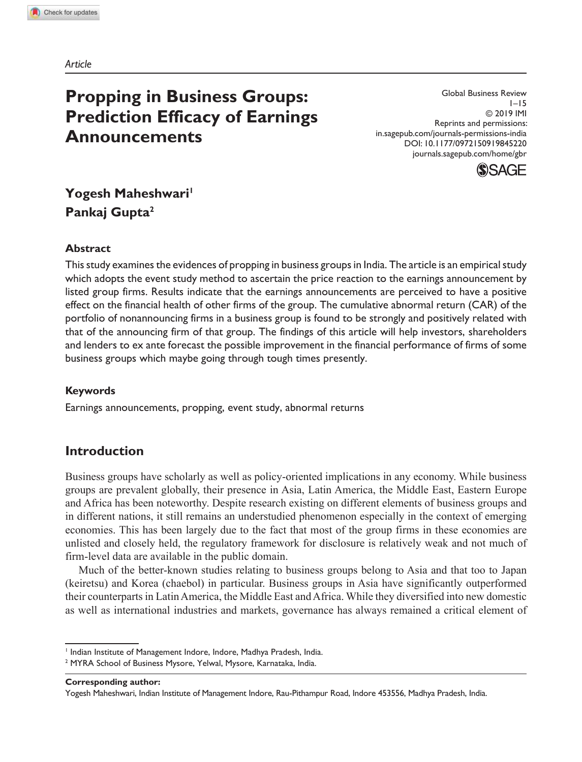*Article*

# **Propping in Business Groups: Prediction Efficacy of Earnings Announcements**

Global Business Review 1–15 © 2019 IMI Reprints and permissions: in.sagepub.com/journals-permissions-india DOI: 10.1177/0972150919845220 journals.sagepub.com/home/gbr



## **Yogesh Maheshwari<sup>1</sup> Pankaj Gupta<sup>2</sup>**

## **Abstract**

This study examines the evidences of propping in business groups in India. The article is an empirical study which adopts the event study method to ascertain the price reaction to the earnings announcement by listed group firms. Results indicate that the earnings announcements are perceived to have a positive effect on the financial health of other firms of the group. The cumulative abnormal return (CAR) of the portfolio of nonannouncing firms in a business group is found to be strongly and positively related with that of the announcing firm of that group. The findings of this article will help investors, shareholders and lenders to ex ante forecast the possible improvement in the financial performance of firms of some business groups which maybe going through tough times presently.

#### **Keywords**

Earnings announcements, propping, event study, abnormal returns

## **Introduction**

Business groups have scholarly as well as policy-oriented implications in any economy. While business groups are prevalent globally, their presence in Asia, Latin America, the Middle East, Eastern Europe and Africa has been noteworthy. Despite research existing on different elements of business groups and in different nations, it still remains an understudied phenomenon especially in the context of emerging economies. This has been largely due to the fact that most of the group firms in these economies are unlisted and closely held, the regulatory framework for disclosure is relatively weak and not much of firm-level data are available in the public domain.

Much of the better-known studies relating to business groups belong to Asia and that too to Japan (keiretsu) and Korea (chaebol) in particular. Business groups in Asia have significantly outperformed their counterparts in Latin America, the Middle East and Africa. While they diversified into new domestic as well as international industries and markets, governance has always remained a critical element of

**Corresponding author:**

<sup>&</sup>lt;sup>1</sup> Indian Institute of Management Indore, Indore, Madhya Pradesh, India.

<sup>2</sup> MYRA School of Business Mysore, Yelwal, Mysore, Karnataka, India.

Yogesh Maheshwari, Indian Institute of Management Indore, Rau-Pithampur Road, Indore 453556, Madhya Pradesh, India.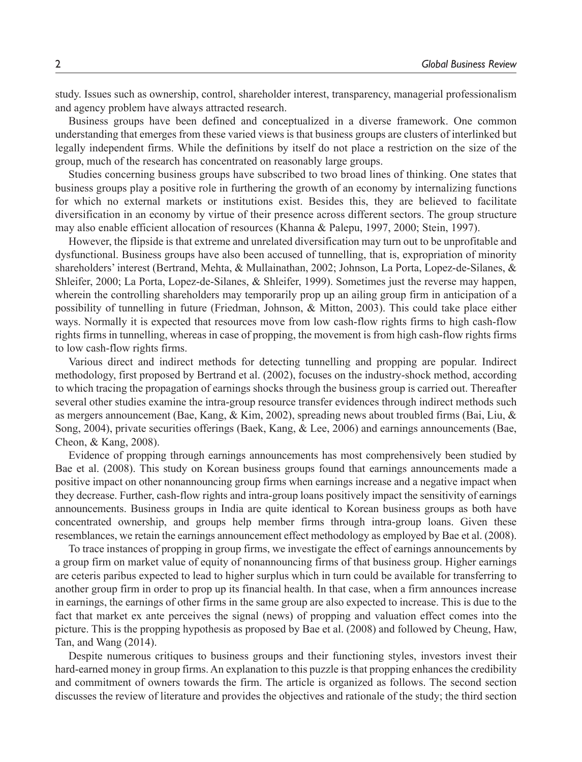study. Issues such as ownership, control, shareholder interest, transparency, managerial professionalism and agency problem have always attracted research.

Business groups have been defined and conceptualized in a diverse framework. One common understanding that emerges from these varied views is that business groups are clusters of interlinked but legally independent firms. While the definitions by itself do not place a restriction on the size of the group, much of the research has concentrated on reasonably large groups.

Studies concerning business groups have subscribed to two broad lines of thinking. One states that business groups play a positive role in furthering the growth of an economy by internalizing functions for which no external markets or institutions exist. Besides this, they are believed to facilitate diversification in an economy by virtue of their presence across different sectors. The group structure may also enable efficient allocation of resources (Khanna & Palepu, 1997, 2000; Stein, 1997).

However, the flipside is that extreme and unrelated diversification may turn out to be unprofitable and dysfunctional. Business groups have also been accused of tunnelling, that is, expropriation of minority shareholders' interest (Bertrand, Mehta, & Mullainathan, 2002; Johnson, La Porta, Lopez-de-Silanes, & Shleifer, 2000; La Porta, Lopez-de-Silanes, & Shleifer, 1999). Sometimes just the reverse may happen, wherein the controlling shareholders may temporarily prop up an ailing group firm in anticipation of a possibility of tunnelling in future (Friedman, Johnson, & Mitton, 2003). This could take place either ways. Normally it is expected that resources move from low cash-flow rights firms to high cash-flow rights firms in tunnelling, whereas in case of propping, the movement is from high cash-flow rights firms to low cash-flow rights firms.

Various direct and indirect methods for detecting tunnelling and propping are popular. Indirect methodology, first proposed by Bertrand et al. (2002), focuses on the industry-shock method, according to which tracing the propagation of earnings shocks through the business group is carried out. Thereafter several other studies examine the intra-group resource transfer evidences through indirect methods such as mergers announcement (Bae, Kang, & Kim, 2002), spreading news about troubled firms (Bai, Liu, & Song, 2004), private securities offerings (Baek, Kang, & Lee, 2006) and earnings announcements (Bae, Cheon, & Kang, 2008).

Evidence of propping through earnings announcements has most comprehensively been studied by Bae et al. (2008). This study on Korean business groups found that earnings announcements made a positive impact on other nonannouncing group firms when earnings increase and a negative impact when they decrease. Further, cash-flow rights and intra-group loans positively impact the sensitivity of earnings announcements. Business groups in India are quite identical to Korean business groups as both have concentrated ownership, and groups help member firms through intra-group loans. Given these resemblances, we retain the earnings announcement effect methodology as employed by Bae et al. (2008).

To trace instances of propping in group firms, we investigate the effect of earnings announcements by a group firm on market value of equity of nonannouncing firms of that business group. Higher earnings are ceteris paribus expected to lead to higher surplus which in turn could be available for transferring to another group firm in order to prop up its financial health. In that case, when a firm announces increase in earnings, the earnings of other firms in the same group are also expected to increase. This is due to the fact that market ex ante perceives the signal (news) of propping and valuation effect comes into the picture. This is the propping hypothesis as proposed by Bae et al. (2008) and followed by Cheung, Haw, Tan, and Wang (2014).

Despite numerous critiques to business groups and their functioning styles, investors invest their hard-earned money in group firms. An explanation to this puzzle is that propping enhances the credibility and commitment of owners towards the firm. The article is organized as follows. The second section discusses the review of literature and provides the objectives and rationale of the study; the third section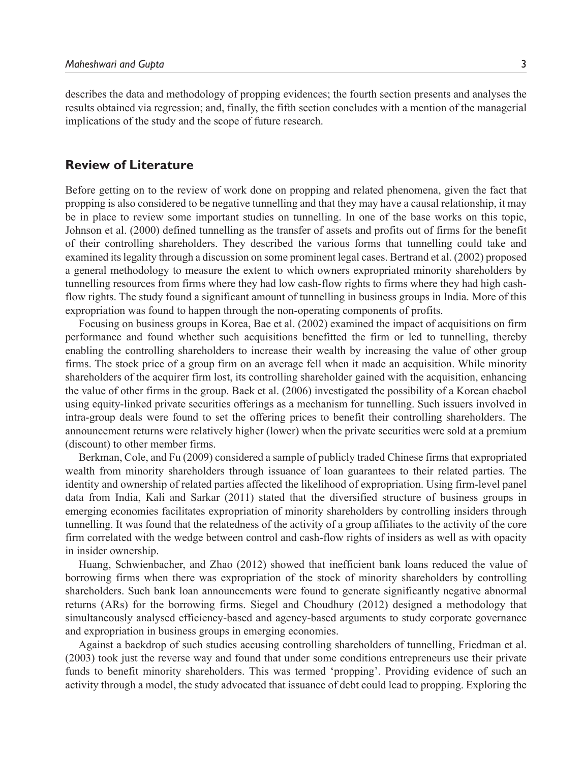describes the data and methodology of propping evidences; the fourth section presents and analyses the results obtained via regression; and, finally, the fifth section concludes with a mention of the managerial implications of the study and the scope of future research.

#### **Review of Literature**

Before getting on to the review of work done on propping and related phenomena, given the fact that propping is also considered to be negative tunnelling and that they may have a causal relationship, it may be in place to review some important studies on tunnelling. In one of the base works on this topic, Johnson et al. (2000) defined tunnelling as the transfer of assets and profits out of firms for the benefit of their controlling shareholders. They described the various forms that tunnelling could take and examined its legality through a discussion on some prominent legal cases. Bertrand et al. (2002) proposed a general methodology to measure the extent to which owners expropriated minority shareholders by tunnelling resources from firms where they had low cash-flow rights to firms where they had high cashflow rights. The study found a significant amount of tunnelling in business groups in India. More of this expropriation was found to happen through the non-operating components of profits.

Focusing on business groups in Korea, Bae et al. (2002) examined the impact of acquisitions on firm performance and found whether such acquisitions benefitted the firm or led to tunnelling, thereby enabling the controlling shareholders to increase their wealth by increasing the value of other group firms. The stock price of a group firm on an average fell when it made an acquisition. While minority shareholders of the acquirer firm lost, its controlling shareholder gained with the acquisition, enhancing the value of other firms in the group. Baek et al. (2006) investigated the possibility of a Korean chaebol using equity-linked private securities offerings as a mechanism for tunnelling. Such issuers involved in intra-group deals were found to set the offering prices to benefit their controlling shareholders. The announcement returns were relatively higher (lower) when the private securities were sold at a premium (discount) to other member firms.

Berkman, Cole, and Fu (2009) considered a sample of publicly traded Chinese firms that expropriated wealth from minority shareholders through issuance of loan guarantees to their related parties. The identity and ownership of related parties affected the likelihood of expropriation. Using firm-level panel data from India, Kali and Sarkar (2011) stated that the diversified structure of business groups in emerging economies facilitates expropriation of minority shareholders by controlling insiders through tunnelling. It was found that the relatedness of the activity of a group affiliates to the activity of the core firm correlated with the wedge between control and cash-flow rights of insiders as well as with opacity in insider ownership.

Huang, Schwienbacher, and Zhao (2012) showed that inefficient bank loans reduced the value of borrowing firms when there was expropriation of the stock of minority shareholders by controlling shareholders. Such bank loan announcements were found to generate significantly negative abnormal returns (ARs) for the borrowing firms. Siegel and Choudhury (2012) designed a methodology that simultaneously analysed efficiency-based and agency-based arguments to study corporate governance and expropriation in business groups in emerging economies.

Against a backdrop of such studies accusing controlling shareholders of tunnelling, Friedman et al. (2003) took just the reverse way and found that under some conditions entrepreneurs use their private funds to benefit minority shareholders. This was termed 'propping'. Providing evidence of such an activity through a model, the study advocated that issuance of debt could lead to propping. Exploring the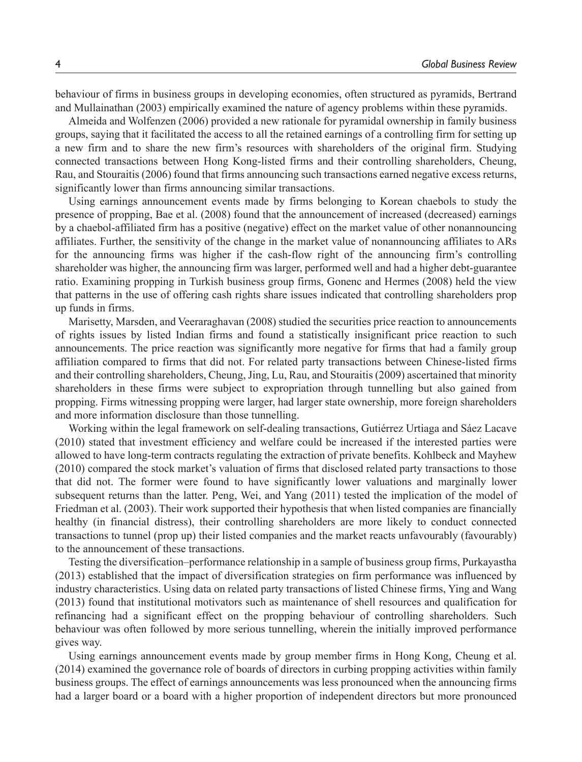behaviour of firms in business groups in developing economies, often structured as pyramids, Bertrand and Mullainathan (2003) empirically examined the nature of agency problems within these pyramids.

Almeida and Wolfenzen (2006) provided a new rationale for pyramidal ownership in family business groups, saying that it facilitated the access to all the retained earnings of a controlling firm for setting up a new firm and to share the new firm's resources with shareholders of the original firm. Studying connected transactions between Hong Kong-listed firms and their controlling shareholders, Cheung, Rau, and Stouraitis (2006) found that firms announcing such transactions earned negative excess returns, significantly lower than firms announcing similar transactions.

Using earnings announcement events made by firms belonging to Korean chaebols to study the presence of propping, Bae et al. (2008) found that the announcement of increased (decreased) earnings by a chaebol-affiliated firm has a positive (negative) effect on the market value of other nonannouncing affiliates. Further, the sensitivity of the change in the market value of nonannouncing affiliates to ARs for the announcing firms was higher if the cash-flow right of the announcing firm's controlling shareholder was higher, the announcing firm was larger, performed well and had a higher debt-guarantee ratio. Examining propping in Turkish business group firms, Gonenc and Hermes (2008) held the view that patterns in the use of offering cash rights share issues indicated that controlling shareholders prop up funds in firms.

Marisetty, Marsden, and Veeraraghavan (2008) studied the securities price reaction to announcements of rights issues by listed Indian firms and found a statistically insignificant price reaction to such announcements. The price reaction was significantly more negative for firms that had a family group affiliation compared to firms that did not. For related party transactions between Chinese-listed firms and their controlling shareholders, Cheung, Jing, Lu, Rau, and Stouraitis (2009) ascertained that minority shareholders in these firms were subject to expropriation through tunnelling but also gained from propping. Firms witnessing propping were larger, had larger state ownership, more foreign shareholders and more information disclosure than those tunnelling.

Working within the legal framework on self-dealing transactions, Gutiérrez Urtiaga and Sáez Lacave (2010) stated that investment efficiency and welfare could be increased if the interested parties were allowed to have long-term contracts regulating the extraction of private benefits. Kohlbeck and Mayhew (2010) compared the stock market's valuation of firms that disclosed related party transactions to those that did not. The former were found to have significantly lower valuations and marginally lower subsequent returns than the latter. Peng, Wei, and Yang (2011) tested the implication of the model of Friedman et al. (2003). Their work supported their hypothesis that when listed companies are financially healthy (in financial distress), their controlling shareholders are more likely to conduct connected transactions to tunnel (prop up) their listed companies and the market reacts unfavourably (favourably) to the announcement of these transactions.

Testing the diversification–performance relationship in a sample of business group firms, Purkayastha (2013) established that the impact of diversification strategies on firm performance was influenced by industry characteristics. Using data on related party transactions of listed Chinese firms, Ying and Wang (2013) found that institutional motivators such as maintenance of shell resources and qualification for refinancing had a significant effect on the propping behaviour of controlling shareholders. Such behaviour was often followed by more serious tunnelling, wherein the initially improved performance gives way.

Using earnings announcement events made by group member firms in Hong Kong, Cheung et al. (2014) examined the governance role of boards of directors in curbing propping activities within family business groups. The effect of earnings announcements was less pronounced when the announcing firms had a larger board or a board with a higher proportion of independent directors but more pronounced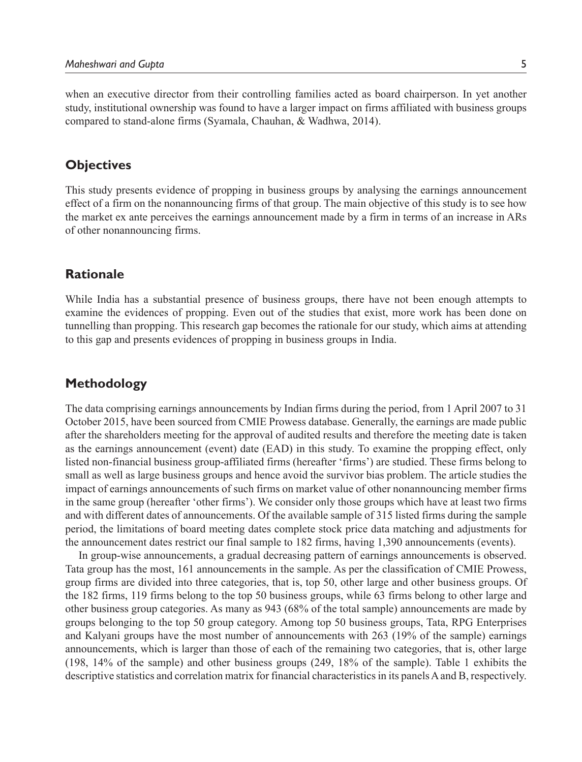when an executive director from their controlling families acted as board chairperson. In yet another study, institutional ownership was found to have a larger impact on firms affiliated with business groups compared to stand-alone firms (Syamala, Chauhan, & Wadhwa, 2014).

## **Objectives**

This study presents evidence of propping in business groups by analysing the earnings announcement effect of a firm on the nonannouncing firms of that group. The main objective of this study is to see how the market ex ante perceives the earnings announcement made by a firm in terms of an increase in ARs of other nonannouncing firms.

## **Rationale**

While India has a substantial presence of business groups, there have not been enough attempts to examine the evidences of propping. Even out of the studies that exist, more work has been done on tunnelling than propping. This research gap becomes the rationale for our study, which aims at attending to this gap and presents evidences of propping in business groups in India.

## **Methodology**

The data comprising earnings announcements by Indian firms during the period, from 1 April 2007 to 31 October 2015, have been sourced from CMIE Prowess database. Generally, the earnings are made public after the shareholders meeting for the approval of audited results and therefore the meeting date is taken as the earnings announcement (event) date (EAD) in this study. To examine the propping effect, only listed non-financial business group-affiliated firms (hereafter 'firms') are studied. These firms belong to small as well as large business groups and hence avoid the survivor bias problem. The article studies the impact of earnings announcements of such firms on market value of other nonannouncing member firms in the same group (hereafter 'other firms'). We consider only those groups which have at least two firms and with different dates of announcements. Of the available sample of 315 listed firms during the sample period, the limitations of board meeting dates complete stock price data matching and adjustments for the announcement dates restrict our final sample to 182 firms, having 1,390 announcements (events).

In group-wise announcements, a gradual decreasing pattern of earnings announcements is observed. Tata group has the most, 161 announcements in the sample. As per the classification of CMIE Prowess, group firms are divided into three categories, that is, top 50, other large and other business groups. Of the 182 firms, 119 firms belong to the top 50 business groups, while 63 firms belong to other large and other business group categories. As many as 943 (68% of the total sample) announcements are made by groups belonging to the top 50 group category. Among top 50 business groups, Tata, RPG Enterprises and Kalyani groups have the most number of announcements with 263 (19% of the sample) earnings announcements, which is larger than those of each of the remaining two categories, that is, other large (198, 14% of the sample) and other business groups (249, 18% of the sample). Table 1 exhibits the descriptive statistics and correlation matrix for financial characteristics in its panels A and B, respectively.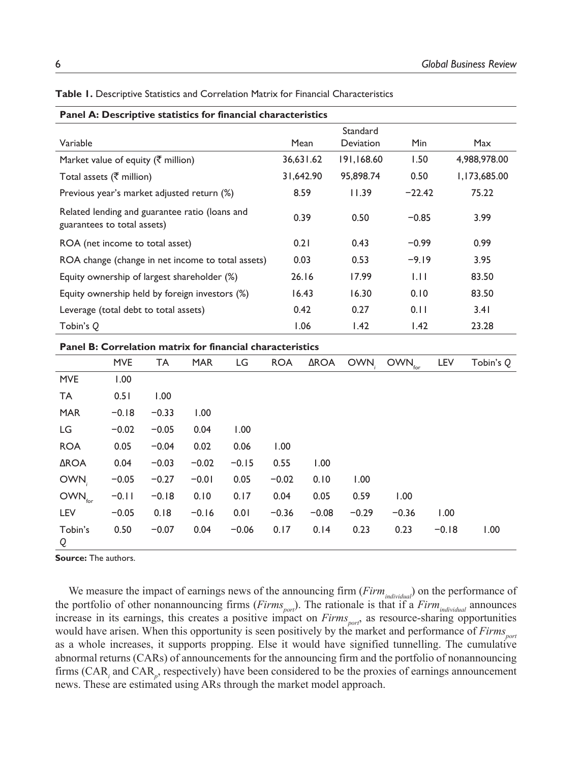|                                                                               |            |         |            | Panel A: Descriptive statistics for financial characteristics |            |             |            |                    |         |              |  |  |  |  |  |
|-------------------------------------------------------------------------------|------------|---------|------------|---------------------------------------------------------------|------------|-------------|------------|--------------------|---------|--------------|--|--|--|--|--|
|                                                                               | Standard   |         |            |                                                               |            |             |            |                    |         |              |  |  |  |  |  |
| Variable                                                                      |            |         |            |                                                               | Mean       |             | Deviation  | Min                |         | Max          |  |  |  |  |  |
| Market value of equity ( $\bar{\tau}$ million)                                |            |         |            |                                                               |            | 36,631.62   | 191,168.60 | 1.50               |         | 4,988,978.00 |  |  |  |  |  |
| Total assets ( $\bar{\tau}$ million)                                          |            |         |            |                                                               |            | 31,642.90   | 95,898.74  | 0.50               |         | 1,173,685.00 |  |  |  |  |  |
| Previous year's market adjusted return (%)                                    |            |         |            |                                                               |            | 8.59        | 11.39      | $-22.42$           |         | 75.22        |  |  |  |  |  |
| Related lending and guarantee ratio (loans and<br>guarantees to total assets) |            |         |            |                                                               |            | 0.39        |            | $-0.85$            |         | 3.99         |  |  |  |  |  |
| ROA (net income to total asset)                                               |            |         |            |                                                               |            | 0.21        | 0.43       | $-0.99$            |         | 0.99         |  |  |  |  |  |
|                                                                               |            |         |            | ROA change (change in net income to total assets)             |            | 0.03        | 0.53       | $-9.19$            |         | 3.95         |  |  |  |  |  |
| Equity ownership of largest shareholder (%)                                   |            |         |            |                                                               |            | 26.16       | 17.99      | 1.11               |         | 83.50        |  |  |  |  |  |
| Equity ownership held by foreign investors (%)                                |            |         |            |                                                               |            | 16.43       |            | 0.10               |         | 83.50        |  |  |  |  |  |
| Leverage (total debt to total assets)                                         |            |         |            |                                                               |            | 0.42        | 0.27       | 0.11               |         | 3.41         |  |  |  |  |  |
| Tobin's Q                                                                     |            |         |            |                                                               |            | 1.06        | 1.42       | 1.42               |         | 23.28        |  |  |  |  |  |
|                                                                               |            |         |            | Panel B: Correlation matrix for financial characteristics     |            |             |            |                    |         |              |  |  |  |  |  |
|                                                                               | <b>MVE</b> | TA      | <b>MAR</b> | LG                                                            | <b>ROA</b> | <b>AROA</b> | OWN,       | $OWN_{\text{for}}$ | LEV     | Tobin's Q    |  |  |  |  |  |
| <b>MVE</b>                                                                    | 1.00       |         |            |                                                               |            |             |            |                    |         |              |  |  |  |  |  |
| <b>TA</b>                                                                     | 0.51       | 1.00    |            |                                                               |            |             |            |                    |         |              |  |  |  |  |  |
| <b>MAR</b>                                                                    | $-0.18$    | $-0.33$ | 1.00       |                                                               |            |             |            |                    |         |              |  |  |  |  |  |
| LG                                                                            | $-0.02$    | $-0.05$ | 0.04       | 1.00                                                          |            |             |            |                    |         |              |  |  |  |  |  |
| <b>ROA</b>                                                                    | 0.05       | $-0.04$ | 0.02       | 0.06                                                          | 1.00       |             |            |                    |         |              |  |  |  |  |  |
| <b>AROA</b>                                                                   | 0.04       | $-0.03$ | $-0.02$    | $-0.15$                                                       | 0.55       | 1.00        |            |                    |         |              |  |  |  |  |  |
| OWN,                                                                          | $-0.05$    | $-0.27$ | $-0.01$    | 0.05                                                          | $-0.02$    | 0.10        | 1.00       |                    |         |              |  |  |  |  |  |
| OWN <sub>for</sub>                                                            | $-0.11$    | $-0.18$ | 0.10       | 0.17                                                          | 0.04       | 0.05        | 0.59       | 1.00               |         |              |  |  |  |  |  |
| LEV                                                                           | $-0.05$    | 0.18    | $-0.16$    | 0.01                                                          | $-0.36$    | $-0.08$     | $-0.29$    | $-0.36$            | 1.00    |              |  |  |  |  |  |
| Tobin's<br>Q                                                                  | 0.50       | $-0.07$ | 0.04       | $-0.06$                                                       | 0.17       | 0.14        | 0.23       | 0.23               | $-0.18$ | 1.00         |  |  |  |  |  |

**Table 1.** Descriptive Statistics and Correlation Matrix for Financial Characteristics

**Source:** The authors.

We measure the impact of earnings news of the announcing firm (*Firmindividual*) on the performance of the portfolio of other nonannouncing firms (*Firms port* ). The rationale is that if a *Firmindividual* announces increase in its earnings, this creates a positive impact on *Firms port* , as resource-sharing opportunities would have arisen. When this opportunity is seen positively by the market and performance of *Firms port* as a whole increases, it supports propping. Else it would have signified tunnelling. The cumulative abnormal returns (CARs) of announcements for the announcing firm and the portfolio of nonannouncing firms (CAR<sub>*i*</sub> and CAR<sub>*p*</sub>, respectively) have been considered to be the proxies of earnings announcement news. These are estimated using ARs through the market model approach.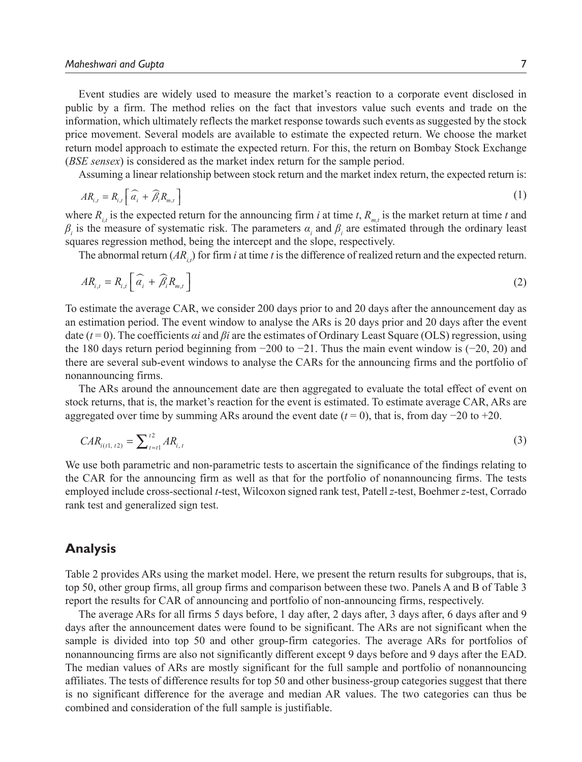Event studies are widely used to measure the market's reaction to a corporate event disclosed in public by a firm. The method relies on the fact that investors value such events and trade on the information, which ultimately reflects the market response towards such events as suggested by the stock price movement. Several models are available to estimate the expected return. We choose the market return model approach to estimate the expected return. For this, the return on Bombay Stock Exchange (*BSE sensex*) is considered as the market index return for the sample period.

Assuming a linear relationship between stock return and the market index return, the expected return is:

$$
AR_{i,t} = R_{i,t} \left[ \widehat{a_i} + \widehat{\beta_i} R_{m,t} \right]
$$
 (1)

where  $R_{i,t}$  is the expected return for the announcing firm *i* at time *t*,  $R_{m,t}$  is the market return at time *t* and  $β<sub>i</sub>$  is the measure of systematic risk. The parameters  $α<sub>i</sub>$  and  $β<sub>i</sub>$  are estimated through the ordinary least squares regression method, being the intercept and the slope, respectively.

The abnormal return  $(AR_i)$  for firm *i* at time *t* is the difference of realized return and the expected return.

$$
AR_{i,t} = R_{i,t} \left[ \widehat{a_i} + \widehat{\beta}_i R_{m,t} \right]
$$
 (2)

To estimate the average CAR, we consider 200 days prior to and 20 days after the announcement day as an estimation period. The event window to analyse the ARs is 20 days prior and 20 days after the event date (*t* = 0). The coefficients *αi* and *βi* are the estimates of Ordinary Least Square (OLS) regression, using the 180 days return period beginning from −200 to −21. Thus the main event window is (−20, 20) and there are several sub-event windows to analyse the CARs for the announcing firms and the portfolio of nonannouncing firms.

The ARs around the announcement date are then aggregated to evaluate the total effect of event on stock returns, that is, the market's reaction for the event is estimated. To estimate average CAR, ARs are aggregated over time by summing ARs around the event date  $(t = 0)$ , that is, from day  $-20$  to  $+20$ .

$$
CAR_{i(t1, t2)} = \sum_{t=1}^{t2} AR_{i, t}
$$
 (3)

We use both parametric and non-parametric tests to ascertain the significance of the findings relating to the CAR for the announcing firm as well as that for the portfolio of nonannouncing firms. The tests employed include cross-sectional *t*-test, Wilcoxon signed rank test, Patell *z*-test, Boehmer *z*-test, Corrado rank test and generalized sign test.

#### **Analysis**

Table 2 provides ARs using the market model. Here, we present the return results for subgroups, that is, top 50, other group firms, all group firms and comparison between these two. Panels A and B of Table 3 report the results for CAR of announcing and portfolio of non-announcing firms, respectively.

The average ARs for all firms 5 days before, 1 day after, 2 days after, 3 days after, 6 days after and 9 days after the announcement dates were found to be significant. The ARs are not significant when the sample is divided into top 50 and other group-firm categories. The average ARs for portfolios of nonannouncing firms are also not significantly different except 9 days before and 9 days after the EAD. The median values of ARs are mostly significant for the full sample and portfolio of nonannouncing affiliates. The tests of difference results for top 50 and other business-group categories suggest that there is no significant difference for the average and median AR values. The two categories can thus be combined and consideration of the full sample is justifiable.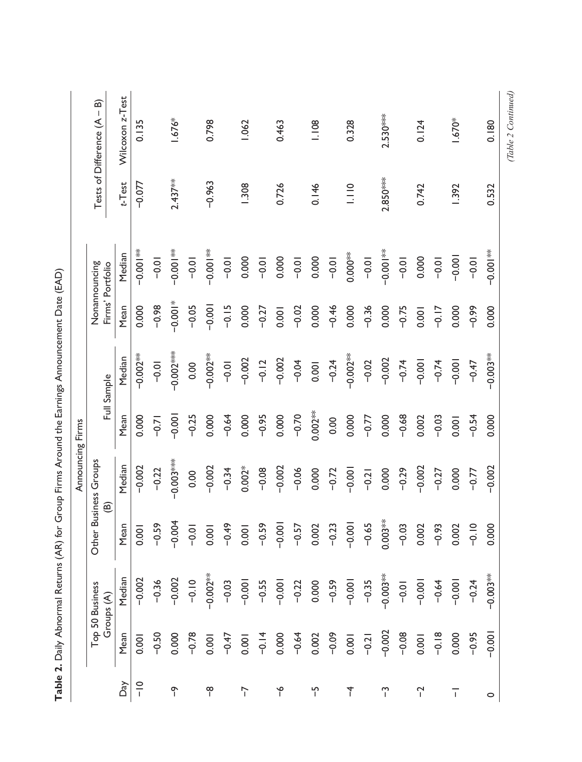|                  | Tests of Difference (A - B)       | Wilcoxon z-Test | 0.135         |         | 1.676*               |         | 0.798           |         | 1.062    |         | 0.463    |         | 1.108          |         | 0.328      |         | $2.530***$      |         | 0.124       |         | 1.670*         |         | 0.180                       | $\tau$ $\tau$ $\tau$ $\tau$ |
|------------------|-----------------------------------|-----------------|---------------|---------|----------------------|---------|-----------------|---------|----------|---------|----------|---------|----------------|---------|------------|---------|-----------------|---------|-------------|---------|----------------|---------|-----------------------------|-----------------------------|
|                  |                                   | $t$ -Test       | $-0.077$      |         | $2.437**$            |         | $-0.963$        |         | 1.308    |         | 0.726    |         | 0.146          |         | 1.110      |         | $2.850***$      |         | 0.742       |         | 1.392          |         | 0.532                       |                             |
|                  | Nonannouncing<br>Firms' Portfolio | Median          | $-0.00$       | $-0.01$ | $\frac{1}{2}$ = 0.00 | $-0.01$ | *<br>-0.00<br>- | $-0.01$ | 0.000    | $-0.01$ | 0.000    | $-0.01$ | 0.000          | $-0.01$ | $0.000**$  | $-0.01$ | *<br>-0.00<br>- | $-0.01$ | 0.000       | $-0.01$ | $-0.001$       | $-0.01$ | $\frac{1}{2}$ $\frac{1}{2}$ |                             |
|                  |                                   | Mean            | 0.000         | $-0.98$ | $-0.001*$            | $-0.05$ | $-0.001$        | $-0.15$ | 0.000    | $-0.27$ | 0.001    | $-0.02$ | 0.000          | $-0.46$ | 0.000      | $-0.36$ | 0.000           | $-0.75$ | 0.001       | $-0.17$ | 0.000          | $-0.99$ | 0.000                       |                             |
|                  | Full Sample                       | Median          | $-0.002**$    | $-0.01$ | $-0.002$             | 0.00    | $-0.002**$      | $-0.01$ | $-0.002$ | $-0.12$ | $-0.002$ | $-0.04$ | 0.001          | $-0.24$ | $-0.002**$ | $-0.02$ | $-0.002$        | $-0.74$ | $-0.001$    | $-0.74$ | $-0.001$       | $-0.47$ | $-0.003**$                  |                             |
|                  |                                   | Mean            | 0.000         | $-0.71$ | $-0.001$             | $-0.25$ | 0.000           | $-0.64$ | 0.000    | $-0.95$ | 0.000    | $-0.70$ | $0.002**$      | 0.00    | 0.000      | $-0.77$ | 0.000           | $-0.68$ | 0.002       | $-0.03$ | 0.001          | $-0.54$ | 0.000                       |                             |
| Announcing Firms | Other Business Groups<br>ම        | Median          | $-0.002$      | $-0.22$ | $-0.003***$          | 0.00    | $-0.002$        | $-0.34$ | $0.002*$ | $-0.08$ | $-0.002$ | $-0.06$ | 0.000          | $-0.72$ | $-0.001$   | $-0.21$ | 0.000           | $-0.29$ | $-0.002$    | $-0.27$ | 0.000          | $-0.77$ | $-0.002$                    |                             |
|                  |                                   | Mean            | 0.001         | $-0.59$ | $-0.004$             | $-0.01$ | 0.001           | $-0.49$ | 0.001    | $-0.59$ | $-0.001$ | $-0.57$ | 0.002          | $-0.23$ | $-0.001$   | $-0.65$ | $0.003**$       | $-0.03$ | 0.002       | $-0.93$ | 0.002          | $-0.10$ | 0.000                       |                             |
|                  | Top 50 Business<br>Groups (A)     | Median          | $-0.002$      | $-0.36$ | $-0.002$             | $-0.10$ | $-0.002**$      | $-0.03$ | $-0.001$ | $-0.55$ | $-0.001$ | $-0.22$ | 0.000          | $-0.59$ | $-0.001$   | $-0.35$ | $-0.003**$      | $-0.01$ | $-0.001$    | $-0.64$ | $-0.001$       | $-0.24$ | $-0.003**$                  |                             |
|                  |                                   | Mean            | 0.00          | $-0.50$ | 0.000                | $-0.78$ | 0.001           | $-0.47$ | 0.001    | $-0.14$ | 0.000    | $-0.64$ | 0.002          | $-0.09$ | 0.001      | $-0.21$ | $-0.002$        | $-0.08$ | 0.001       | $-0.18$ | 0.000          | $-0.95$ | $-0.001$                    |                             |
|                  |                                   | Daγ             | $\frac{1}{1}$ |         | $\tilde{ }$          |         | $\frac{8}{1}$   |         | 7        |         | ۴        |         | $\overline{1}$ |         | 7          |         | $\tilde{ }$     |         | $\tilde{a}$ |         | $\overline{1}$ |         | $\circ$                     |                             |

Table 2. Daily Abnormal Returns (AR) for Group Firms Around the Earnings Announcement Date (EAD) **Table 2.** Daily Abnormal Returns (AR) for Group Firms Around the Earnings Announcement Date (EAD) (Table 2 Continued) *(Table 2 Continued)*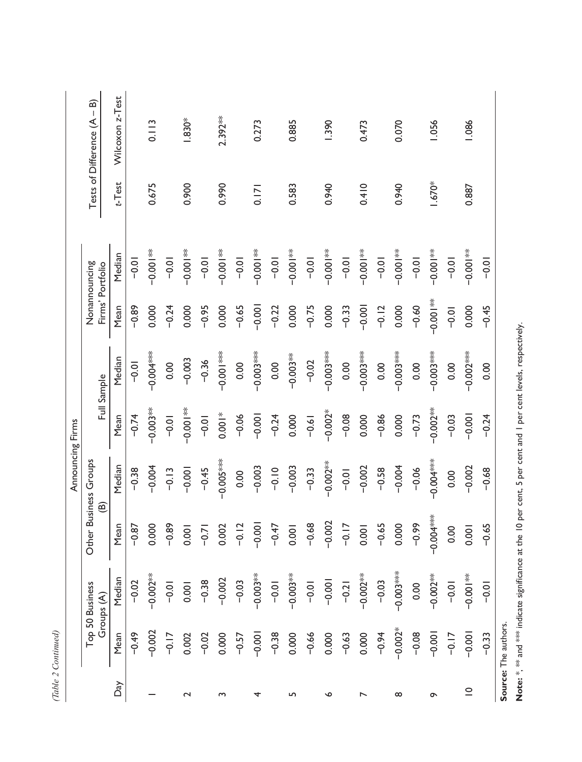|                  | Tests of Difference (A - B)       | Wilcoxon z-Test<br>$t$ -Test |                     | 0.113<br>0.675 |                         | $1.830*$<br>0.900   |                  | $2.392**$<br>0.990 |         | 0.273<br>0.171 |         | 0.885<br>0.583              |         | 1.390<br>0.940         |         | 0.473<br>0.410 |         | 0.070<br>0.940       |         | 1.056<br>1.670*             |         | 1.086<br>0.887         |  |
|------------------|-----------------------------------|------------------------------|---------------------|----------------|-------------------------|---------------------|------------------|--------------------|---------|----------------|---------|-----------------------------|---------|------------------------|---------|----------------|---------|----------------------|---------|-----------------------------|---------|------------------------|--|
|                  | Nonannouncing<br>Firms' Portfolio | Median                       | $-0.01$             | $-0.001$       | $-0.01$                 | $-0.001$            | $-0.01$          | $-0.001$           | $-0.01$ | $-0.001$       | $-0.01$ | $\frac{1}{2}$ $\frac{1}{2}$ | $-0.01$ | <sub>**</sub><br>00.00 | $-0.01$ | $-0.00$        | $-0.01$ | $\frac{1}{2}$ = 0.00 | $-0.01$ | $\frac{1}{2}$ $\frac{1}{2}$ | $-0.01$ | <sub>**</sub><br>00:00 |  |
|                  |                                   | Mean                         | $-0.89$             | 0.000          | $-0.24$                 | 0.000               | $-0.95$          | 0.000              | $-0.65$ | $-0.001$       | $-0.22$ | 0.000                       | $-0.75$ | 0.000                  | $-0.33$ | $-0.001$       | $-0.12$ | 0.000                | $-0.60$ | *<br>00.00                  | $-0.01$ | 0.000                  |  |
|                  | Full Sample                       | Median                       | $-0.01$             |                | 0.00                    | $-0.003$            | $-0.36$          | *** 100.0          | 0.00    | ****00.0−      | 0.00    | $-0.003***$                 | $-0.02$ | $-0.003***$            | 0.00    | $-0.003***$    | 0.00    | $-0.003***$          | 0.00    | $-0.003***$                 | 0.00    | $-0.002***$            |  |
|                  |                                   | Mean                         | $-0.74$             | $-0.003**$     | $-0.01$                 | ** loo:0-           | $-0.01$          | $0.001*$           | $-0.06$ | $-0.001$       | $-0.24$ | 0.000                       | $-0.61$ | $-0.002*$              | $-0.08$ | 0.000          | $-0.86$ | 0.000                | $-0.73$ | $-0.002**$                  | $-0.03$ | $-0.001$               |  |
| Announcing Firms | Other Business Groups             | Median                       | $-0.38$             | $-0.004$       | $-0.13$                 | $-0.001$            | $-0.45$          | $-0.005***$        | 0.00    | $-0.003$       | $-0.10$ | $-0.003$                    | $-0.33$ | $-0.002**$             | $-0.01$ | $-0.002$       | $-0.58$ | $-0.004$             | $-0.06$ | ***********                 | 0.00    | $-0.002$               |  |
|                  | ම                                 | Mean                         | $-0.87$             | 0.000          | $-0.89$                 | 0.001               | $-0.71$          | 0.002              | $-0.12$ | $-0.001$       | $-0.47$ | 0.001                       | $-0.68$ | $-0.002$               | $-0.17$ | 0.001          | $-0.65$ | 0.000                | $-0.99$ |                             | 0.00    | 0.001                  |  |
|                  | Top 50 Business<br>Groups (A)     | Median                       | $\overline{0}$<br>ု | $-0.002**$     | $\overline{\circ}$<br>ု | $\overline{Q}$<br>് | $\ddot{38}$<br>ု | 002<br>ုံ          | $-0.03$ | $-0.003**$     | $-0.01$ | $-0.003**$                  | $-0.01$ | $-0.001$               | $-0.21$ | $-0.002**$     | $-0.03$ | $-0.003***$          | 0.00    | $-0.002**$                  | $-0.01$ | $-0.001**$             |  |
|                  |                                   | Mean                         | $-0.49$             | $-0.002$       | $-0.17$                 | 0.002               | $-0.02$          | 0.000              | $-0.57$ | $-0.001$       | $-0.38$ | 0.000                       | $-0.66$ | 0.000                  | $-0.63$ | 0.000          | $-0.94$ | $-0.002*$            | $-0.08$ | $-0.001$                    | $-0.17$ | $-0.001$               |  |
|                  |                                   | Daγ                          |                     |                |                         | $\mathbf 2$         |                  | S                  |         | 4              |         | LN                          |         | ∾                      |         | ↖              |         | $^\infty$            |         | $\sigma$                    |         | $\subseteq$            |  |

Note: \*, \*\*\* and \*\*\* indicate significance at the 10 per cent, 5 per cent and 1 per cent levels, respectively. **Note:** \*, \*\* and \*\*\* indicate significance at the 10 per cent, 5 per cent and 1 per cent levels, respectively.

(Table 2 Continued) *(Table 2 Continued)*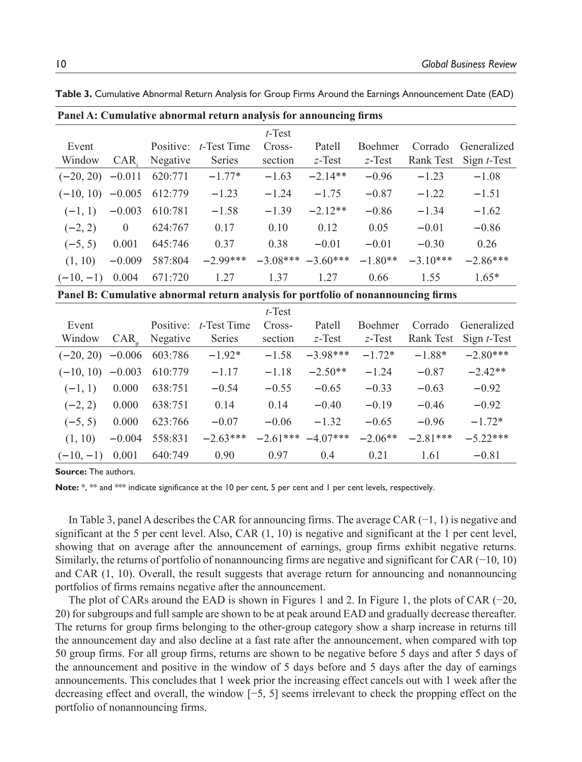| Panel A: Cumulative abnormal return analysis for announcing firms |          |           |             |            |            |                |            |                |  |  |  |  |  |  |
|-------------------------------------------------------------------|----------|-----------|-------------|------------|------------|----------------|------------|----------------|--|--|--|--|--|--|
|                                                                   |          |           |             | $t$ -Test  |            |                |            |                |  |  |  |  |  |  |
| Event                                                             |          | Positive: | t-Test Time | Cross-     | Patell     | <b>Boehmer</b> | Corrado    | Generalized    |  |  |  |  |  |  |
| Window                                                            | CAR.     | Negative  | Series      | section    | $z$ -Test  | $z$ -Test      | Rank Test  | Sign $t$ -Test |  |  |  |  |  |  |
| $(-20, 20)$                                                       | $-0.011$ | 620:771   | $-1.77*$    | $-1.63$    | $-2.14**$  | $-0.96$        | $-1.23$    | $-1.08$        |  |  |  |  |  |  |
| $(-10, 10)$                                                       | $-0.005$ | 612:779   | $-1.23$     | $-1.24$    | $-1.75$    | $-0.87$        | $-1.22$    | $-1.51$        |  |  |  |  |  |  |
| $(-1, 1)$                                                         | $-0.003$ | 610:781   | $-1.58$     | $-1.39$    | $-2.12**$  | $-0.86$        | $-1.34$    | $-1.62$        |  |  |  |  |  |  |
| $(-2, 2)$                                                         | $\theta$ | 624:767   | 0.17        | 0.10       | 0.12       | 0.05           | $-0.01$    | $-0.86$        |  |  |  |  |  |  |
| $(-5, 5)$                                                         | 0.001    | 645:746   | 0.37        | 0.38       | $-0.01$    | $-0.01$        | $-0.30$    | 0.26           |  |  |  |  |  |  |
| (1, 10)                                                           | $-0.009$ | 587:804   | $-2.99***$  | $-3.08***$ | $-3.60***$ | $-1.80**$      | $-3.10***$ | $-2.86***$     |  |  |  |  |  |  |

(**−**10, **−**1) 0.004 671:720 1.27 1.37 1.27 0.66 1.55 1.65\*

**Table 3.** Cumulative Abnormal Return Analysis for Group Firms Around the Earnings Announcement Date (EAD)

**Panel B: Cumulative abnormal return analysis for portfolio of nonannouncing firms**

|             |          |           |                | $t$ -Test  |            |                |            |                |
|-------------|----------|-----------|----------------|------------|------------|----------------|------------|----------------|
| Event       |          | Positive: | $t$ -Test Time | Cross-     | Patell     | <b>Boehmer</b> | Corrado    | Generalized    |
| Window      | CAR      | Negative  | Series         | section    | $z$ -Test  | $z$ -Test      | Rank Test  | Sign $t$ -Test |
| $(-20, 20)$ | $-0.006$ | 603:786   | $-1.92*$       | $-1.58$    | $-3.98***$ | $-1.72*$       | $-1.88*$   | $-2.80***$     |
| $(-10, 10)$ | $-0.003$ | 610:779   | $-1.17$        | $-1.18$    | $-2.50**$  | $-1.24$        | $-0.87$    | $-2.42**$      |
| $(-1, 1)$   | 0.000    | 638:751   | $-0.54$        | $-0.55$    | $-0.65$    | $-0.33$        | $-0.63$    | $-0.92$        |
| $(-2, 2)$   | 0.000    | 638:751   | 0.14           | 0.14       | $-0.40$    | $-0.19$        | $-0.46$    | $-0.92$        |
| $(-5, 5)$   | 0.000    | 623:766   | $-0.07$        | $-0.06$    | $-1.32$    | $-0.65$        | $-0.96$    | $-1.72*$       |
| (1, 10)     | $-0.004$ | 558:831   | $-2.63***$     | $-2.61***$ | $-4.07***$ | $-2.06**$      | $-2.81***$ | $-5.22***$     |
| $(-10,-1)$  | 0.001    | 640:749   | 0.90           | 0.97       | 0.4        | 0.21           | 1.61       | $-0.81$        |

**Source:** The authors.

**Note:** \*, \*\* and \*\*\* indicate significance at the 10 per cent, 5 per cent and 1 per cent levels, respectively.

In Table 3, panel A describes the CAR for announcing firms. The average CAR (−1, 1) is negative and significant at the 5 per cent level. Also, CAR  $(1, 10)$  is negative and significant at the 1 per cent level, showing that on average after the announcement of earnings, group firms exhibit negative returns. Similarly, the returns of portfolio of nonannouncing firms are negative and significant for CAR (−10, 10) and CAR (1, 10). Overall, the result suggests that average return for announcing and nonannouncing portfolios of firms remains negative after the announcement.

The plot of CARs around the EAD is shown in Figures 1 and 2. In Figure 1, the plots of CAR (−20, 20) for subgroups and full sample are shown to be at peak around EAD and gradually decrease thereafter. The returns for group firms belonging to the other-group category show a sharp increase in returns till the announcement day and also decline at a fast rate after the announcement, when compared with top 50 group firms. For all group firms, returns are shown to be negative before 5 days and after 5 days of the announcement and positive in the window of 5 days before and 5 days after the day of earnings announcements. This concludes that 1 week prior the increasing effect cancels out with 1 week after the decreasing effect and overall, the window [−5, 5] seems irrelevant to check the propping effect on the portfolio of nonannouncing firms.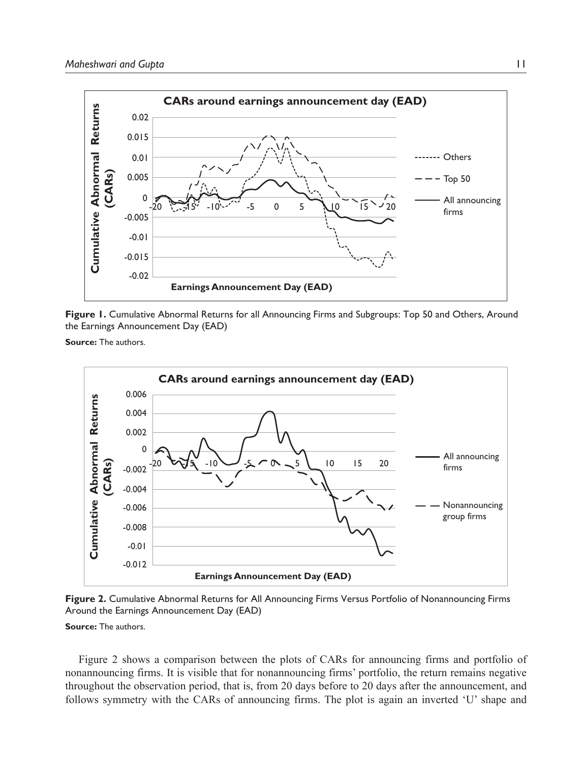

**Figure 1.** Cumulative Abnormal Returns for all Announcing Firms and Subgroups: Top 50 and Others, Around the Earnings Announcement Day (EAD)

**Source:** The authors.



**Figure 2.** Cumulative Abnormal Returns for All Announcing Firms Versus Portfolio of Nonannouncing Firms Around the Earnings Announcement Day (EAD)

**Source:** The authors.

Figure 2 shows a comparison between the plots of CARs for announcing firms and portfolio of nonannouncing firms. It is visible that for nonannouncing firms' portfolio, the return remains negative throughout the observation period, that is, from 20 days before to 20 days after the announcement, and follows symmetry with the CARs of announcing firms. The plot is again an inverted 'U' shape and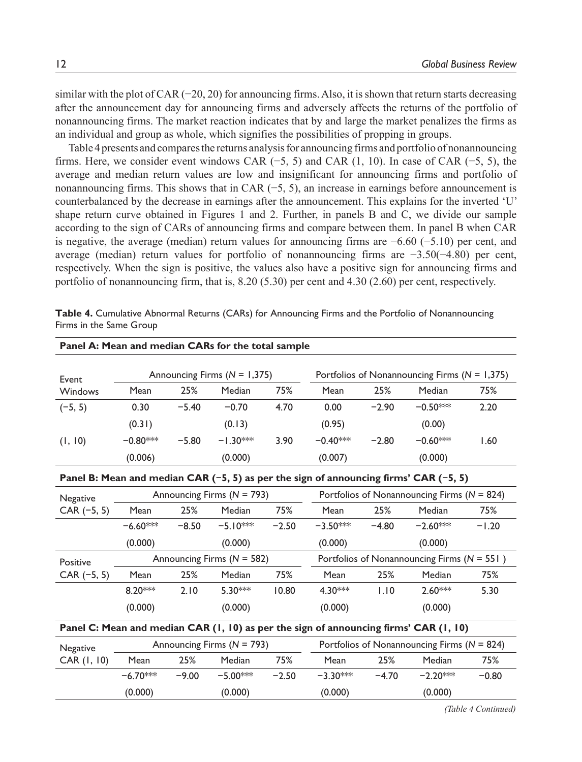similar with the plot of CAR (−20, 20) for announcing firms. Also, it is shown that return starts decreasing after the announcement day for announcing firms and adversely affects the returns of the portfolio of nonannouncing firms. The market reaction indicates that by and large the market penalizes the firms as an individual and group as whole, which signifies the possibilities of propping in groups.

Table 4 presents and compares the returns analysis for announcing firms and portfolio of nonannouncing firms. Here, we consider event windows CAR (−5, 5) and CAR (1, 10). In case of CAR (−5, 5), the average and median return values are low and insignificant for announcing firms and portfolio of nonannouncing firms. This shows that in CAR (−5, 5), an increase in earnings before announcement is counterbalanced by the decrease in earnings after the announcement. This explains for the inverted 'U' shape return curve obtained in Figures 1 and 2. Further, in panels B and C, we divide our sample according to the sign of CARs of announcing firms and compare between them. In panel B when CAR is negative, the average (median) return values for announcing firms are −6.60 (−5.10) per cent, and average (median) return values for portfolio of nonannouncing firms are −3.50(−4.80) per cent, respectively. When the sign is positive, the values also have a positive sign for announcing firms and portfolio of nonannouncing firm, that is, 8.20 (5.30) per cent and 4.30 (2.60) per cent, respectively.

| Panel A: Mean and median CARs for the total sample                                    |             |         |                                |         |             |         |                                                                                       |         |  |  |  |  |  |  |
|---------------------------------------------------------------------------------------|-------------|---------|--------------------------------|---------|-------------|---------|---------------------------------------------------------------------------------------|---------|--|--|--|--|--|--|
| Event                                                                                 |             |         | Announcing Firms $(N = 1,375)$ |         |             |         | Portfolios of Nonannouncing Firms ( $N = 1,375$ )                                     |         |  |  |  |  |  |  |
| Windows                                                                               | <b>Mean</b> | 25%     | Median                         | 75%     | <b>Mean</b> | 25%     | Median                                                                                | 75%     |  |  |  |  |  |  |
| $(-5, 5)$                                                                             | 0.30        | $-5.40$ | $-0.70$                        | 4.70    | 0.00        | $-2.90$ | $-0.50***$                                                                            | 2.20    |  |  |  |  |  |  |
|                                                                                       | (0.31)      |         | (0.13)                         |         | (0.95)      |         | (0.00)                                                                                |         |  |  |  |  |  |  |
| (1, 10)                                                                               | $-0.80***$  | $-5.80$ | $-1.30***$                     | 3.90    | $-0.40***$  | $-2.80$ | $-0.60***$                                                                            | 1.60    |  |  |  |  |  |  |
|                                                                                       | (0.006)     |         | (0.000)                        |         | (0.007)     |         | (0.000)                                                                               |         |  |  |  |  |  |  |
| Panel B: Mean and median CAR (-5, 5) as per the sign of announcing firms' CAR (-5, 5) |             |         |                                |         |             |         |                                                                                       |         |  |  |  |  |  |  |
| Negative                                                                              |             |         | Announcing Firms ( $N = 793$ ) |         |             |         | Portfolios of Nonannouncing Firms ( $N = 824$ )                                       |         |  |  |  |  |  |  |
| $CAR (-5, 5)$                                                                         | Mean        | 25%     | Median                         | 75%     | Mean        | 25%     | Median                                                                                | 75%     |  |  |  |  |  |  |
|                                                                                       | $-6.60***$  | $-8.50$ | $-5.10***$                     | $-2.50$ | $-3.50***$  | $-4.80$ | $-2.60***$                                                                            | $-1.20$ |  |  |  |  |  |  |
|                                                                                       | (0.000)     |         | (0.000)                        |         | (0.000)     |         | (0.000)                                                                               |         |  |  |  |  |  |  |
| Positive                                                                              |             |         | Announcing Firms ( $N = 582$ ) |         |             |         | Portfolios of Nonannouncing Firms ( $N = 551$ )                                       |         |  |  |  |  |  |  |
| $CAR (-5, 5)$                                                                         | Mean        | 25%     | Median                         | 75%     | Mean        | 25%     | Median                                                                                | 75%     |  |  |  |  |  |  |
|                                                                                       | $8.20***$   | 2.10    | 5.30***                        | 10.80   | $4.30***$   | 1.10    | $2.60***$                                                                             | 5.30    |  |  |  |  |  |  |
|                                                                                       | (0.000)     |         | (0.000)                        |         | (0.000)     |         | (0.000)                                                                               |         |  |  |  |  |  |  |
|                                                                                       |             |         |                                |         |             |         | Panel C: Mean and median CAR (1, 10) as per the sign of announcing firms' CAR (1, 10) |         |  |  |  |  |  |  |
| Negative                                                                              |             |         | Announcing Firms ( $N = 793$ ) |         |             |         | Portfolios of Nonannouncing Firms ( $N = 824$ )                                       |         |  |  |  |  |  |  |
| CAR (1, 10)                                                                           | Mean        | 25%     | Median                         | 75%     | Mean        | 25%     | Median                                                                                | 75%     |  |  |  |  |  |  |
|                                                                                       | $-6.70***$  | $-9.00$ | $-5.00***$                     | $-2.50$ | $-3.30***$  | $-4.70$ | $-2.20***$                                                                            | $-0.80$ |  |  |  |  |  |  |
|                                                                                       | (0.000)     |         | (0.000)                        |         | (0.000)     |         | (0.000)                                                                               |         |  |  |  |  |  |  |
|                                                                                       |             |         |                                |         |             |         |                                                                                       |         |  |  |  |  |  |  |

**Table 4.** Cumulative Abnormal Returns (CARs) for Announcing Firms and the Portfolio of Nonannouncing Firms in the Same Group

*(Table 4 Continued)*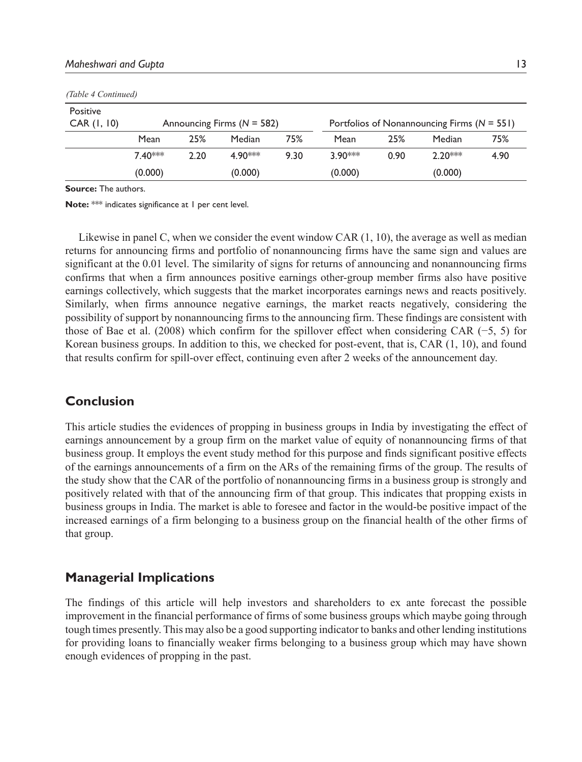|             | (Table 4 Continued) |      |                              |      |           |      |                                                 |      |  |  |  |  |  |  |  |
|-------------|---------------------|------|------------------------------|------|-----------|------|-------------------------------------------------|------|--|--|--|--|--|--|--|
| Positive    |                     |      |                              |      |           |      |                                                 |      |  |  |  |  |  |  |  |
| CAR (1, 10) |                     |      | Announcing Firms $(N = 582)$ |      |           |      | Portfolios of Nonannouncing Firms ( $N = 551$ ) |      |  |  |  |  |  |  |  |
|             | Mean                | 25%  | Median                       | 75%  | Mean      | 25%  | Median                                          | 75%  |  |  |  |  |  |  |  |
|             | $7.40***$           | 2.20 | 4.90***                      | 9.30 | $3.90***$ | 0.90 | $2.20***$                                       | 4.90 |  |  |  |  |  |  |  |
|             | (0.000)             |      | (0.000)                      |      | (0.000)   |      | (0.000)                                         |      |  |  |  |  |  |  |  |

**Source:** The authors.

**Note:** \*\*\* indicates significance at 1 per cent level.

Likewise in panel C, when we consider the event window CAR (1, 10), the average as well as median returns for announcing firms and portfolio of nonannouncing firms have the same sign and values are significant at the 0.01 level. The similarity of signs for returns of announcing and nonannouncing firms confirms that when a firm announces positive earnings other-group member firms also have positive earnings collectively, which suggests that the market incorporates earnings news and reacts positively. Similarly, when firms announce negative earnings, the market reacts negatively, considering the possibility of support by nonannouncing firms to the announcing firm. These findings are consistent with those of Bae et al. (2008) which confirm for the spillover effect when considering CAR (−5, 5) for Korean business groups. In addition to this, we checked for post-event, that is, CAR (1, 10), and found that results confirm for spill-over effect, continuing even after 2 weeks of the announcement day.

### **Conclusion**

This article studies the evidences of propping in business groups in India by investigating the effect of earnings announcement by a group firm on the market value of equity of nonannouncing firms of that business group. It employs the event study method for this purpose and finds significant positive effects of the earnings announcements of a firm on the ARs of the remaining firms of the group. The results of the study show that the CAR of the portfolio of nonannouncing firms in a business group is strongly and positively related with that of the announcing firm of that group. This indicates that propping exists in business groups in India. The market is able to foresee and factor in the would-be positive impact of the increased earnings of a firm belonging to a business group on the financial health of the other firms of that group.

## **Managerial Implications**

The findings of this article will help investors and shareholders to ex ante forecast the possible improvement in the financial performance of firms of some business groups which maybe going through tough times presently. This may also be a good supporting indicator to banks and other lending institutions for providing loans to financially weaker firms belonging to a business group which may have shown enough evidences of propping in the past.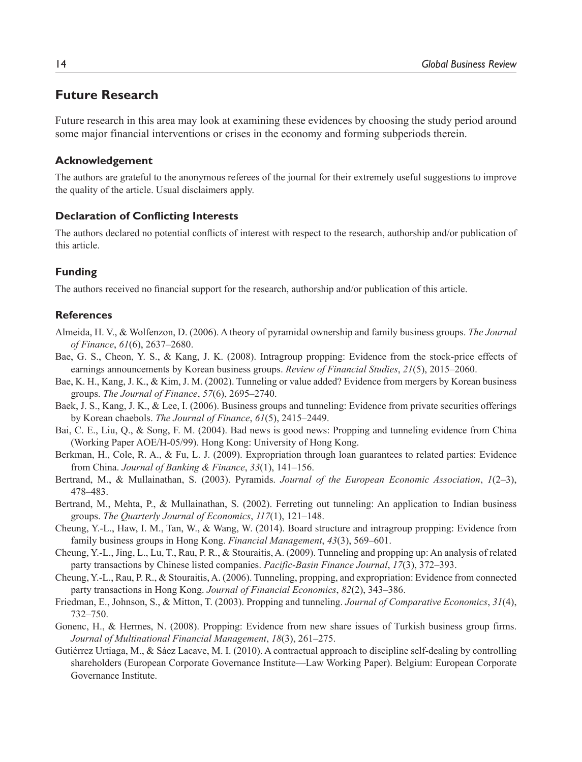## **Future Research**

Future research in this area may look at examining these evidences by choosing the study period around some major financial interventions or crises in the economy and forming subperiods therein.

#### **Acknowledgement**

The authors are grateful to the anonymous referees of the journal for their extremely useful suggestions to improve the quality of the article. Usual disclaimers apply.

#### **Declaration of Conflicting Interests**

The authors declared no potential conflicts of interest with respect to the research, authorship and/or publication of this article.

#### **Funding**

The authors received no financial support for the research, authorship and/or publication of this article.

#### **References**

- Almeida, H. V., & Wolfenzon, D. (2006). A theory of pyramidal ownership and family business groups. *The Journal of Finance*, *61*(6), 2637–2680.
- Bae, G. S., Cheon, Y. S., & Kang, J. K. (2008). Intragroup propping: Evidence from the stock-price effects of earnings announcements by Korean business groups. *Review of Financial Studies*, *21*(5), 2015–2060.
- Bae, K. H., Kang, J. K., & Kim, J. M. (2002). Tunneling or value added? Evidence from mergers by Korean business groups. *The Journal of Finance*, *57*(6), 2695–2740.
- Baek, J. S., Kang, J. K., & Lee, I. (2006). Business groups and tunneling: Evidence from private securities offerings by Korean chaebols. *The Journal of Finance*, *61*(5), 2415–2449.
- Bai, C. E., Liu, Q., & Song, F. M. (2004). Bad news is good news: Propping and tunneling evidence from China (Working Paper AOE/H-05/99). Hong Kong: University of Hong Kong.
- Berkman, H., Cole, R. A., & Fu, L. J. (2009). Expropriation through loan guarantees to related parties: Evidence from China. *Journal of Banking & Finance*, *33*(1), 141–156.
- Bertrand, M., & Mullainathan, S. (2003). Pyramids. *Journal of the European Economic Association*, *1*(2–3), 478–483.
- Bertrand, M., Mehta, P., & Mullainathan, S. (2002). Ferreting out tunneling: An application to Indian business groups. *The Quarterly Journal of Economics*, *117*(1), 121–148.
- Cheung, Y.-L., Haw, I. M., Tan, W., & Wang, W. (2014). Board structure and intragroup propping: Evidence from family business groups in Hong Kong. *Financial Management*, *43*(3), 569–601.
- Cheung, Y.-L., Jing, L., Lu, T., Rau, P. R., & Stouraitis, A. (2009). Tunneling and propping up: An analysis of related party transactions by Chinese listed companies. *Pacific-Basin Finance Journal*, *17*(3), 372–393.
- Cheung, Y.-L., Rau, P. R., & Stouraitis, A. (2006). Tunneling, propping, and expropriation: Evidence from connected party transactions in Hong Kong. *Journal of Financial Economics*, *82*(2), 343–386.
- Friedman, E., Johnson, S., & Mitton, T. (2003). Propping and tunneling. *Journal of Comparative Economics*, *31*(4), 732–750.
- Gonenc, H., & Hermes, N. (2008). Propping: Evidence from new share issues of Turkish business group firms. *Journal of Multinational Financial Management*, *18*(3), 261–275.
- Gutiérrez Urtiaga, M., & Sáez Lacave, M. I. (2010). A contractual approach to discipline self-dealing by controlling shareholders (European Corporate Governance Institute—Law Working Paper). Belgium: European Corporate Governance Institute.